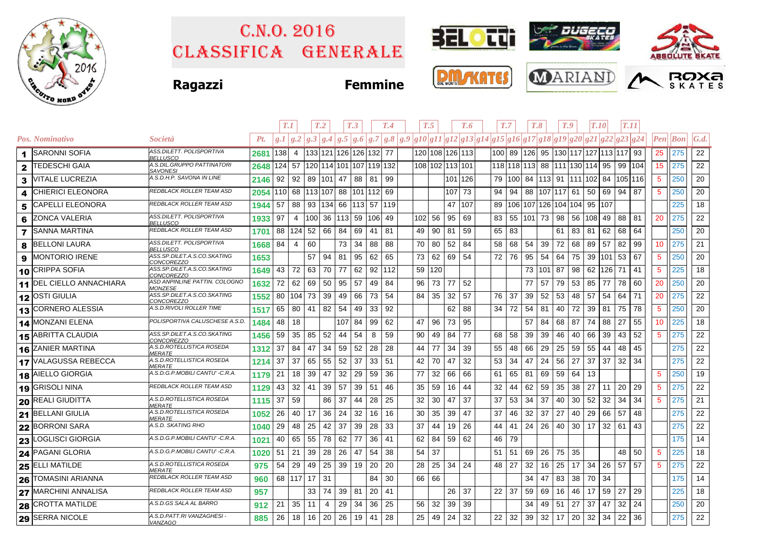

## Classifica generale C.n.o. 2016





**Ragazzi Femmine**







|   |                                 |                                                   |      | T.1       |                |     | T <sub>.2</sub> |         | T <sub>.3</sub>                |        | T.4 |                                                                                            | T.5 |                 | T.6     |    | T.7     | T.8                                  |            | T.9 |    | <b>T.10</b>        |     | T.11    |    |                        |                |                   |
|---|---------------------------------|---------------------------------------------------|------|-----------|----------------|-----|-----------------|---------|--------------------------------|--------|-----|--------------------------------------------------------------------------------------------|-----|-----------------|---------|----|---------|--------------------------------------|------------|-----|----|--------------------|-----|---------|----|------------------------|----------------|-------------------|
|   | Pos. Nominativo                 | <i>Società</i>                                    | Pt.  | g.I/g.2   |                |     |                 |         |                                |        |     | $ g.3 g.4 g.5 g.6 g.7 g.8 g.9 g10 g11 g12 g13 g14 g15 g16 g17 g18 g19 g20 g21 g22 g23 g24$ |     |                 |         |    |         |                                      |            |     |    |                    |     |         |    | $\boldsymbol{\it Pen}$ | $\mathbf{Bon}$ | $\mathcal{G}.d$ . |
| 1 | <b>SARONNI SOFIA</b>            | ASS.DILETT. POLISPORTIVA<br><b>BELLUSCO</b>       | 2681 | 138       | -4             |     |                 |         | 133 121 126 126 132 77         |        |     |                                                                                            |     | 120 108 126 113 |         |    |         | 100 89 126 95 130 117 127 113 117 93 |            |     |    |                    |     |         |    | 25                     | 275            | 22                |
| 2 | <b>TEDESCHI GAIA</b>            | A.S.DIL.GRUPPO PATTINATORI<br><b>SAVONESI</b>     | 2648 | $124$ 57  |                |     |                 |         | 120 114 101 107 119 132        |        |     |                                                                                            |     | 108 102 113 101 |         |    |         | 118 118 113 88 111 130 114           |            |     |    |                    | 95  | 99 104  |    | 15                     | 275            | 22                |
| 3 | <b>VITALE LUCREZIA</b>          | A.S.D.H.P. SAVONA IN LINE                         | 2146 | 92        | 92             |     | 89   101   47   |         | 88                             | -81    | 99  |                                                                                            |     |                 | 101 126 |    | 79 100  | 84                                   |            |     |    | 113 91 111 102 84  |     | 105 116 |    | $\sqrt{5}$             | 250            | 20                |
| 4 | <b>CHIERICI ELEONORA</b>        | REDBLACK ROLLER TEAM ASD                          | 2054 | 110 68    |                |     |                 |         | 113 107 88 101 112 69          |        |     |                                                                                            |     | 107 73          |         | 94 | 94      | 88                                   | 107 117 61 |     |    | 50                 | 69  | 94      | 87 | $\sqrt{5}$             | 250            | 20                |
| 5 | <b>CAPELLI ELEONORA</b>         | <b>REDBLACK ROLLER TEAM ASD</b>                   | 1944 | 57        | 88             |     |                 |         | 93   134   66   113   57   119 |        |     |                                                                                            |     | 47              | 107     |    |         | 89   106   107                       |            |     |    | 126 104 104 95 107 |     |         |    |                        | 225            | 18                |
| 6 | <b>ZONCA VALERIA</b>            | ASS.DILETT. POLISPORTIVA<br>BELLUSCO              | 1933 | 97        | $\overline{4}$ | 100 |                 |         | 36   113   59   106   49       |        |     | 102                                                                                        | 56  | 95              | 69      | 83 | 55      | 101                                  | 73 98      |     | 56 | 108 49             |     | 88      | 81 | 20                     | 275            | 22                |
|   | <b>7</b> SANNA MARTINA          | REDBLACK ROLLER TEAM ASD                          | 1701 | 88   124  |                | 52  | 66              | 84      | 69                             | 41     | 81  | 49                                                                                         | 90  | 81              | 59      | 65 | 83      |                                      |            | 61  | 83 | 81                 | 62  | 68      | 64 |                        | 250            | 20                |
| 8 | <b>BELLONI LAURA</b>            | ASS.DILETT. POLISPORTIVA<br><b>BELLUSCO</b>       | 1668 | 84        | 4              | 60  |                 | 73      | 34                             | 88     | 88  | 70                                                                                         | 80  | 52              | 84      | 58 | 68      | 54                                   | 39         | 72  | 68 | 89                 | 57  | 82      | 99 | 10                     | 275            | 21                |
| 9 | <b>MONTORIO IRENE</b>           | ASS.SP.DILET.A.S.CO.SKATING<br><i>CONCOREZZO</i>  | 1653 |           |                | 57  | 94              | 81      | 95                             | 62     | 65  | 73                                                                                         | 62  | 69              | 54      | 72 | 76      | 95                                   | 54         | 64  | 75 | 39 101             |     | 53      | 67 | $\sqrt{5}$             | 250            | 20                |
|   | 10 CRIPPA SOFIA                 | ASS.SP.DILET.A.S.CO.SKATING<br><i>CONCOREZZO</i>  | 1649 | 43        | 72             | 63  | 70              | 77      | 62                             | 92 112 |     | 59                                                                                         | 120 |                 |         |    |         | 73                                   | 101 87     |     | 98 | 62                 | 126 | 71      | 41 | $\sqrt{5}$             | 225            | 18                |
|   | <b>11 DEL CIELLO ANNACHIARA</b> | ASD ANPINLINE PATTIN. COLOGNO<br>MONZESE          | 1632 | 72        | 62             | 69  | 50              | 95      | 57                             | 49     | -84 | 96                                                                                         | 73  | 77              | 52      |    |         | 77                                   | 57         | 79  | 53 | 85                 | 77  | 78      | 60 | 20                     | 250            | 20                |
|   | 12 OSTI GIULIA                  | ASS.SP.DILET.A.S.CO.SKATING<br><b>CONCOREZZO</b>  | 1552 | 80 104    |                | 73  | 39              | 49      | 66                             | 73     | 54  | 84                                                                                         | 35  | 32              | 57      | 76 | 37      | 39                                   | 52         | 53  | 48 | 57                 | 54  | 64      | 71 | 20                     | 275            | 22                |
|   | 13 CORNERO ALESSIA              | A.S.D.RIVOLI ROLLER TIME                          | 1517 | 65        | 80             | 41  | 82              | 54      | 49                             | 33     | 92  |                                                                                            |     | 62              | 88      | 34 | 72      | 54                                   | 81         | 40  | 72 | 39                 | 81  | 75      | 78 | $\overline{5}$         | 250            | 20                |
|   | 14 MONZANI ELENA                | POLISPORTIVA CALUSCHESE A.S.D.                    | 1484 | 48        | 18             |     |                 | 107 84  |                                | 99     | 62  | 47                                                                                         | 96  | 73              | 95      |    |         | 57                                   | 84         | 68  | 87 | 74                 | 88  | 27      | 55 | 10                     | 225            | 18                |
|   | 15 ABRITTA CLAUDIA              | ASS.SP.DILET.A.S.CO.SKATING<br><i>CONCOREZZO</i>  | 1456 | 59        | 35             | 85  | 52              | 44      | 54                             | 8      | 59  | 90                                                                                         | 49  | 84              | 77      | 68 | 58      | 39                                   | 39         | 46  | 40 | 66                 | 39  | 43      | 52 | $\overline{5}$         | 275            | 22                |
|   | 16 ZANIER MARTINA               | A.S.D.ROTELLISTICA ROSEDA<br><i><b>MERATE</b></i> | 1312 | 37        | 84             | 47  | 34              | 59      | 52                             | 28     | 28  | 44                                                                                         | 77  | 34              | 39      | 55 | 48      | 66                                   | 29         | 25  | 59 | 55                 | 44  | 48      | 45 |                        | 275            | 22                |
|   | 17 VALAGUSSA REBECCA            | A.S.D.ROTELLISTICA ROSEDA<br><b>MERATE</b>        | 1214 | 37        | 37             | 65  | 55              | 52      | 37                             | 33     | 51  | 42                                                                                         | 70  | 47              | 32      | 53 | 34      | 47                                   | 24         | 56  | 27 | 37                 | 37  | 32      | 34 |                        | 275            | 22                |
|   | 18 AIELLO GIORGIA               | A.S.D.G.P.MOBILI CANTU' -C.R.A.                   | 1179 | 21        | 18             | 39  | 47              | 32      | 29                             | 59     | 36  | 77                                                                                         | 32  | 66              | 66      | 61 | 65      | 81                                   | 69         | 59  | 64 | 13                 |     |         |    | $\sqrt{5}$             | 250            | 19                |
|   | 19 GRISOLI NINA                 | REDBLACK ROLLER TEAM ASD                          | 1129 | 43        | 32             | 41  | 39              | 57      | 39                             | -51    | 46  | 35                                                                                         | 59  | 16              | 44      | 32 | 44      | 62                                   | 59         | 35  | 38 | 27                 | 11  | 20      | 29 | $\sqrt{5}$             | 275            | 22                |
|   | 20 REALI GIUDITTA               | A.S.D.ROTELLISTICA ROSEDA<br><i>MERATE</i>        | 1115 | 37        | 59             |     | 86              | 37      | 44                             | 28     | 25  | 32                                                                                         | 30  | 47              | 37      | 37 | 53      | 34                                   | 37         | 40  | 30 | 52                 | 32  | 34      | 34 | 5                      | 275            | 21                |
|   | 21 BELLANI GIULIA               | A.S.D.ROTELLISTICA ROSEDA<br><i>MERATE</i>        | 1052 | 26        | 40             | 17  | 36              | 24      | 32                             | 16     | 16  | 30                                                                                         | 35  | 39              | 47      | 37 | 46      | 32                                   | 37         | 27  | 40 | 29                 | 66  | 57      | 48 |                        | 275            | 22                |
|   | 22 BORRONI SARA                 | A.S.D. SKATING RHO                                | 1040 | 29        | 48             | 25  | 42              | 37      | 39                             | 28     | 33  | 37                                                                                         | 44  | 19              | 26      | 44 | 41      | 24                                   | 26         | 40  | 30 | 17                 | 32  | 61      | 43 |                        | 275            | 22                |
|   | 23 LOGLISCI GIORGIA             | A.S.D.G.P.MOBILI CANTU' -C.R.A.                   | 1021 | 40        | 65             | 55  | 78              | 62      | 77                             | 36     | -41 | 62                                                                                         | 84  | 59              | 62      | 46 | 79      |                                      |            |     |    |                    |     |         |    |                        | 175            | 14                |
|   | 24 PAGANI GLORIA                | A.S.D.G.P.MOBILI CANTU' -C.R.A.                   | 1020 | 51        | 21             | 39  | 28              | 26      | 47                             | 54     | 38  | 54                                                                                         | 37  |                 |         | 51 | 51      | 69                                   | 26         | 75  | 35 |                    |     | 48      | 50 | $\sqrt{5}$             | 225            | 18                |
|   | 25 ELLI MATILDE                 | A.S.D.ROTELLISTICA ROSEDA<br><b>MERATE</b>        | 975  | 54        | 29             | 49  | 25              | 39      | 19                             | 20     | 20  | 28                                                                                         | 25  | 34              | 24      | 48 | 27      | 32                                   | 16         | 25  | 17 | 34                 | 26  | 57      | 57 | $\sqrt{5}$             | 275            | 22                |
|   | 26 TOMASINI ARIANNA             | REDBLACK ROLLER TEAM ASD                          | 960  | 68 117 17 |                |     | 31              |         |                                | 84     | 30  | 66                                                                                         | 66  |                 |         |    |         | 34                                   | 47         | 83  | 38 | 70                 | 34  |         |    |                        | 175            | 14                |
|   | 27 MARCHINI ANNALISA            | REDBLACK ROLLER TEAM ASD                          | 957  |           |                | 33  | 74              | $39$ 81 |                                | 20     | 41  |                                                                                            |     | 26 37           |         |    | $22$ 37 | 59                                   | 69         | 16  | 46 | 17                 | 59  | 27      | 29 |                        | 225            | 18                |
|   | 28 CROTTA MATILDE               | A.S.D.GS SALA AL BARRO                            | 912  | 21        | 35             | 11  | 4               | 29      | 34                             | 36     | 25  | 56                                                                                         | 32  | 39              | 39      |    |         | 34                                   | 49         | 51  | 27 | 37                 | 47  | 32      | 24 |                        | 250            | 20                |
|   | 29 SERRA NICOLE                 | A.S.D.PATT.RI VANZAGHESI -<br><u>VANZAGO</u>      | 885  | 26        | 18             | 16  | 20              | 26      | 19                             | -41    | 28  | 25                                                                                         | 49  | 24              | 32      | 22 | 32      | 39                                   | 32         | 17  | 20 | 32                 | 34  | 22      | 36 |                        | 275            | 22                |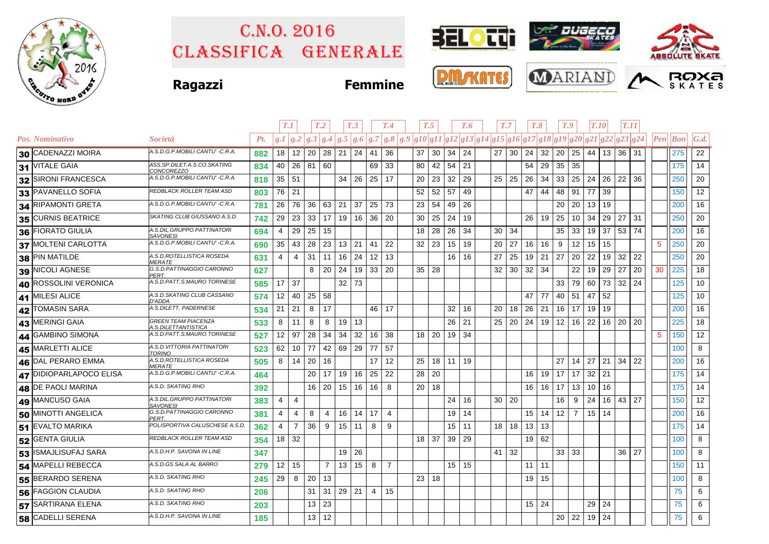

# Classifica generale C.n.o. 2016





**Ragazzi Femmine**

| <b>DAL MONTE</b><br>T |  |
|-----------------------|--|
|                       |  |





|                         |                                                   |     | T.1          |                |                 | T <sub>.2</sub> |                    | T <sub>.3</sub> |    | T.4            | T.5 |       |    | T.7<br>T.6      |               |                                                                                                   | T.8 |         | T.9          |                 | T.10           |                 | T.11  |       |     |          |     |                   |
|-------------------------|---------------------------------------------------|-----|--------------|----------------|-----------------|-----------------|--------------------|-----------------|----|----------------|-----|-------|----|-----------------|---------------|---------------------------------------------------------------------------------------------------|-----|---------|--------------|-----------------|----------------|-----------------|-------|-------|-----|----------|-----|-------------------|
| Pos. Nominativo         | <i>Società</i>                                    | Pt. |              |                |                 |                 |                    |                 |    |                |     |       |    |                 |               | $g.1 g.2 g.3 g.4 g.5 g.6 g.7 g.8 g.9 g10 g11 g12 g13 g14 g15 g16 g17 g18 g19 g20 g21 g22 g23 g24$ |     |         |              |                 |                |                 |       |       |     | Pen  Bon |     | $\mathcal{G}.d$ . |
| 30 CADENAZZI MOIRA      | A.S.D.G.P.MOBILI CANTU' -C.R.A.                   | 882 | 18           | 12             | 20              | 28 21 24        |                    |                 | 41 | 36             |     | 37    | 30 | 34              | 24            | 27 <sub>1</sub>                                                                                   | 30  | 24      | 32           | 20              | 25             |                 | 44 13 | 36 31 |     |          | 275 | 22                |
| 31 VITALE GAIA          | ASS.SP.DILET.A.S.CO.SKATING<br><i>CONCOREZZO</i>  | 834 | 40           |                | 26 81 60        |                 |                    |                 | 69 | 33             |     | 80    | 42 | 54              | 21            |                                                                                                   |     | 54      | 29           | 35              | 35             |                 |       |       |     |          | 175 | 14                |
| 32 SIRONI FRANCESCA     | A.S.D.G.P.MOBILI CANTU' -C.R.A.                   | 818 | $35 \mid 51$ |                |                 |                 | $34 \overline{26}$ |                 | 25 | 17             |     | 20    | 23 | 32              | 29            | 25                                                                                                | 25  | 26      | 34           | 33              | 25             |                 | 24 26 | 22    | 36  |          | 250 | 20                |
| 33 PAVANELLO SOFIA      | REDBLACK ROLLER TEAM ASD                          | 803 | 76           | 21             |                 |                 |                    |                 |    |                |     | 52    | 52 | 57              | 49            |                                                                                                   |     | 47      | 44           | 48              | 91             | 77              | 39    |       |     |          | 150 | 12                |
| 34 RIPAMONTI GRETA      | A.S.D.G.P.MOBILI CANTU' -C.R.A.                   | 781 | 26           | 76             | 36 <sup>1</sup> | 63              | $21 \mid 37$       |                 | 25 | 73             |     | 23    | 54 | 49              | 26            |                                                                                                   |     |         |              | 20              | 20             | $13 \mid 19$    |       |       |     |          | 200 | 16                |
| 35 CURNIS BEATRICE      | SKATING CLUB GIUSSANO A.S.D.                      | 742 | 29           | 23             | 33              | 17              |                    | 19 16           | 36 | -20            |     | 30    | 25 | 24              | 19            |                                                                                                   |     | 26      | 19           | 25              | 10             | 34              | 29    | 27    | 31  |          | 250 | 20                |
| 36 FIORATO GIULIA       | A.S.DIL.GRUPPO PATTINATORI<br><b>SAVONESI</b>     | 694 | 4            | 29             | 25              | 15              |                    |                 |    |                |     | 18    | 28 | 26              | 34            | 30                                                                                                | 34  |         |              | 35              | 33             | 19 <sup>1</sup> | 37    | 53    | 74  |          | 200 | 16                |
| 37 MOLTENI CARLOTTA     | A.S.D.G.P.MOBILI CANTU' -C.R.A.                   | 690 | 35           | 43             | 28              | 23              | 13 21              |                 | 41 | 22             |     | 32    | 23 | 15              | 19            | 20                                                                                                | 27  | 16      | 16           | 9               | 12             | 15              | 15    |       |     | 5        | 250 | 20                |
| 38 PIN MATILDE          | A.S.D.ROTELLISTICA ROSEDA<br><i><b>MERATE</b></i> | 631 | 4            | 4              | 31              | 11              | $16$ 24            |                 | 12 | 13             |     |       |    |                 | $16$ 16       | 27                                                                                                | 25  | 19      | $21 \mid 27$ |                 | 20             | 22              | 19    | 32    | 22  |          | 250 | 20                |
| 39 NICOLI AGNESE        | G.S.D.PATTINAGGIO CARONNO<br>PERT.                | 627 |              |                | 8               | 20              | 24                 | 19              | 33 | 20             |     | 35 28 |    |                 |               | 32                                                                                                | 30  | 32      | -34          |                 | 22             | 19              | 29    | 27    | 20  | 30       | 225 | 18                |
| 40 ROSSOLINI VERONICA   | A.S.D.PATT.S.MAURO TORINESE                       | 585 | 17           | 37             |                 |                 | $32$ 73            |                 |    |                |     |       |    |                 |               |                                                                                                   |     |         |              | 33              | 79             | 60              | 73    | 32    | 24  |          | 125 | 10 <sup>°</sup>   |
| 41 MILESI ALICE         | A.S.D.SKATING CLUB CASSANO<br>D'ADDA              | 574 | 12           | 40             | 25              | 58              |                    |                 |    |                |     |       |    |                 |               |                                                                                                   |     | 47      | 77           | 40              | 51             | 47              | 52    |       |     |          | 125 | 10 <sup>°</sup>   |
| 42 TOMASIN SARA         | A.S.DILETT. PADERNESE                             | 534 | 21           | 21             | 8               | 17              |                    |                 | 46 | 17             |     |       |    | 32              | 16            | 20                                                                                                | 18  | 26      | 21           | 16              | 17             | 19              | 19    |       |     |          | 200 | 16                |
| 43 MERINGI GAIA         | <b>GREEN TEAM PIACENZA</b><br>1.S.DILETTANTISTICA | 533 | 8            | 11             | 8               | 8               | $19$ 13            |                 |    |                |     |       |    | 26              | 21            | 25                                                                                                | 20  | 24      | 19           | 12              | 16             | 22              | 16    | 20    | -20 |          | 225 | 18                |
| 44 GAMBINO SIMONA       | A.S.D.PATT.S.MAURO TORINESE                       | 527 | 12           | 97             | 28              | 34              | 34                 | 32              | 16 | 38             |     | 18    | 20 |                 | $19 \mid 34$  |                                                                                                   |     |         |              |                 |                |                 |       |       |     | 5        | 150 | 12                |
| 45 MARLETTI ALICE       | A.S.D. VITTORIA PATTINATORI<br>TORINO             | 523 | 62           | 10             | 77              | 42              | 69 29              |                 | 77 | 57             |     |       |    |                 |               |                                                                                                   |     |         |              |                 |                |                 |       |       |     |          | 100 | 8                 |
| 46 DAL PERARO EMMA      | A.S.D.ROTELLISTICA ROSEDA<br>MERATE               | 505 | 8            | 14             | 20              | 16              |                    |                 | 17 | 12             |     | 25    | 18 | 11 <sup>1</sup> | 19            |                                                                                                   |     |         |              | 27              | 14             | 27              | 21    | 34    | 22  |          | 200 | 16                |
| 47 DIDIOPARLAPOCO ELISA | A.S.D.G.P.MOBILI CANTU' -C.R.A.                   | 464 |              |                | 20              | 17              | 19                 | 16              | 25 | 22             |     | 28    | 20 |                 |               |                                                                                                   |     | 16      | 19           | 17              | 17             | 32              | 21    |       |     |          | 175 | 14                |
| 48 DE PAOLI MARINA      | A.S.D. SKATING RHO                                | 392 |              |                |                 | 16 20           | $15 \mid 16$       |                 | 16 | 8              |     | 20    | 18 |                 |               |                                                                                                   |     |         | $16$ 16 17   |                 | 13             | 10 <sup>1</sup> | 16    |       |     |          | 175 | 14                |
| 49 MANCUSO GAIA         | A.S.DIL.GRUPPO PATTINATORI<br>SAVONESI            | 383 | 4            | 4              |                 |                 |                    |                 |    |                |     |       |    | 24              | 16            | $30 \mid 20$                                                                                      |     |         |              | 16              | 9              | 24              | 16    | 43 27 |     |          | 150 | 12                |
| 50 MINOTTI ANGELICA     | G.S.D.PATTINAGGIO CARONNO<br>PERT.                | 381 | 4            | 4              | 8               | 4               |                    | 16   14         | 17 | 4              |     |       |    | 19              | 14            |                                                                                                   |     | 15      | 14           | 12              | $\overline{7}$ | 15 <sup>1</sup> | 14    |       |     |          | 200 | 16                |
| 51 EVALTO MARIKA        | POLISPORTIVA CALUSCHESE A.S.D.                    | 362 | 4            | $\overline{7}$ | 36              | - 9             | $15$ 11            |                 | 8  | 9              |     |       |    | 15 <sub>1</sub> | 11            | 18 <sup>1</sup>                                                                                   | 18  | 13      | 13           |                 |                |                 |       |       |     |          | 175 | 14                |
| 52 GENTA GIULIA         | REDBLACK ROLLER TEAM ASD                          | 354 | 18           | 32             |                 |                 |                    |                 |    |                |     | 18    | 37 | 39              | 29            |                                                                                                   |     | 19      | 62           |                 |                |                 |       |       |     |          | 100 | 8                 |
| 53 ISMAJLISUFAJ SARA    | A.S.D.H.P. SAVONA IN LINE                         | 347 |              |                |                 |                 | $19$ 26            |                 |    |                |     |       |    |                 |               | $41 \mid 32$                                                                                      |     |         |              | $33 \mid 33$    |                |                 |       | 36    | 27  |          | 100 | 8                 |
| 54 MAPELLI REBECCA      | A.S.D.GS SALA AL BARRO                            | 279 | $12$ 15      |                |                 | $\overline{7}$  |                    | 13 15           | 8  | $\overline{7}$ |     |       |    |                 | $15 \quad 15$ |                                                                                                   |     | $11$ 11 |              |                 |                |                 |       |       |     |          | 150 | 11                |
| 55 BERARDO SERENA       | A.S.D. SKATING RHO                                | 245 | 29           | 8              | 20              | 13              |                    |                 |    |                |     | 23    | 18 |                 |               |                                                                                                   |     | 19      | 15           |                 |                |                 |       |       |     |          | 100 | 8                 |
| 56 FAGGION CLAUDIA      | A.S.D. SKATING RHO                                | 206 |              |                | 31              | 31              | $29 \mid 21$       |                 | 4  | 15             |     |       |    |                 |               |                                                                                                   |     |         |              |                 |                |                 |       |       |     |          | 75  | 6                 |
| 57 SARTIRANA ELENA      | A.S.D. SKATING RHO                                | 203 |              |                | 13              | 23              |                    |                 |    |                |     |       |    |                 |               |                                                                                                   |     | 15      | 24           |                 |                | 29              | 24    |       |     |          | 75  | 6                 |
| 58 CADELLI SERENA       | A.S.D.H.P. SAVONA IN LINE                         | 185 |              |                | 13              | 12              |                    |                 |    |                |     |       |    |                 |               |                                                                                                   |     |         |              | 20 <sup>1</sup> | 22             | 19              | 24    |       |     |          | 75  | 6                 |
|                         |                                                   |     |              |                |                 |                 |                    |                 |    |                |     |       |    |                 |               |                                                                                                   |     |         |              |                 |                |                 |       |       |     |          |     |                   |